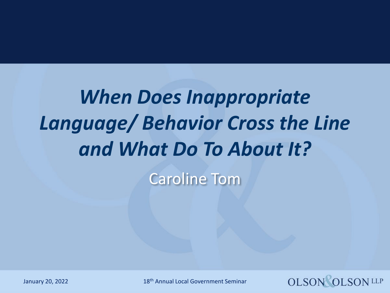# *When Does Inappropriate Language/ Behavior Cross the Line and What Do To About It?*

Caroline Tom

January 20, 2022 18th Annual Local Government Seminar

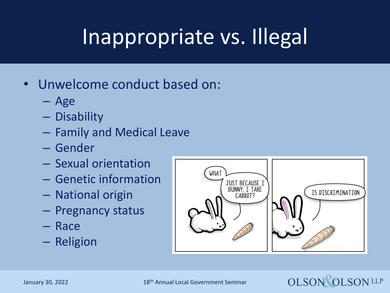## Inappropriate vs. Illegal

- Unwelcome conduct based on:
	- Age
	- Disability
	- Family and Medical Leave
	- Gender
	- Sexual orientation
	- Genetic information
	- National origin
	- Pregnancy status
	- Race
	- Religion





January 30, 2022 18th Annual Local Government Seminar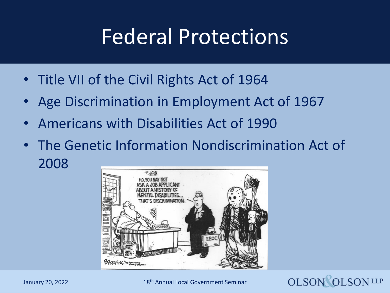### Federal Protections

- Title VII of the Civil Rights Act of 1964
- Age Discrimination in Employment Act of 1967
- Americans with Disabilities Act of 1990
- The Genetic Information Nondiscrimination Act of 2008



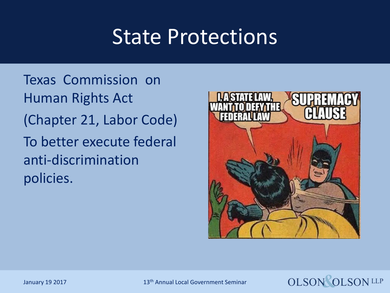### State Protections

Texas Commission on Human Rights Act (Chapter 21, Labor Code) To better execute federal anti-discrimination policies.





January 19 2017 13th Annual Local Government Seminar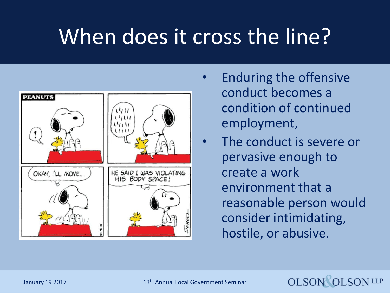## When does it cross the line?



- Enduring the offensive conduct becomes a condition of continued employment,
- The conduct is severe or pervasive enough to create a work environment that a reasonable person would consider intimidating, hostile, or abusive.

**OLSON OLSON LLP**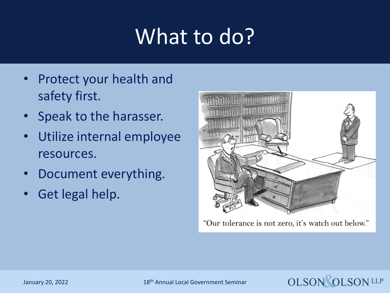## What to do?

- Protect your health and safety first.
- Speak to the harasser.
- Utilize internal employee resources.
- Document everything.
- Get legal help.



"Our tolerance is not zero, it's watch out below."



January 20, 2022 18th Annual Local Government Seminar